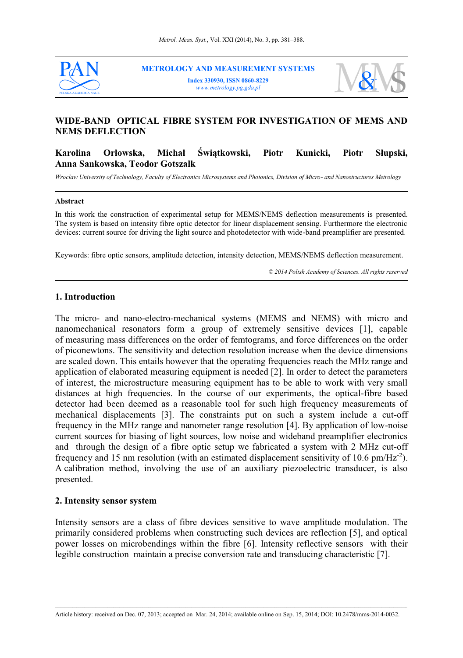

**METROLOGY AND MEASUREMENT SYSTEMS Index 330930, ISSN 0860-8229** *www.metrology.pg.gda.pl*



# **WIDE-BAND OPTICAL FIBRE SYSTEM FOR INVESTIGATION OF MEMS AND NEMS DEFLECTION**

**Karolina Orłowska, Michał Świątkowski, Piotr Kunicki, Piotr Słupski, Anna Sankowska, Teodor Gotszalk**

*Wroclaw University of Technology, Faculty of Electronics Microsystems and Photonics, Division of Micro- and Nanostructures Metrology*

#### **Abstract**

In this work the construction of experimental setup for MEMS/NEMS deflection measurements is presented. The system is based on intensity fibre optic detector for linear displacement sensing. Furthermore the electronic devices: current source for driving the light source and photodetector with wide-band preamplifier are presented.

Keywords: fibre optic sensors, amplitude detection, intensity detection, MEMS/NEMS deflection measurement.

*© 2014 Polish Academy of Sciences. All rights reserved*

## **1. Introduction**

The micro- and nano-electro-mechanical systems (MEMS and NEMS) with micro and nanomechanical resonators form a group of extremely sensitive devices [1], capable of measuring mass differences on the order of femtograms, and force differences on the order of piconewtons. The sensitivity and detection resolution increase when the device dimensions are scaled down. This entails however that the operating frequencies reach the MHz range and application of elaborated measuring equipment is needed [2]. In order to detect the parameters of interest, the microstructure measuring equipment has to be able to work with very small distances at high frequencies. In the course of our experiments, the optical-fibre based detector had been deemed as a reasonable tool for such high frequency measurements of mechanical displacements [3]. The constraints put on such a system include a cut-off frequency in the MHz range and nanometer range resolution [4]. By application of low-noise current sources for biasing of light sources, low noise and wideband preamplifier electronics and through the design of a fibre optic setup we fabricated a system with 2 MHz cut-off frequency and 15 nm resolution (with an estimated displacement sensitivity of 10.6  $pm/Hz^{-2}$ ). A calibration method, involving the use of an auxiliary piezoelectric transducer, is also presented.

## **2. Intensity sensor system**

Intensity sensors are a class of fibre devices sensitive to wave amplitude modulation. The primarily considered problems when constructing such devices are reflection [5], and optical power losses on microbendings within the fibre [6]. Intensity reflective sensors with their legible construction maintain a precise conversion rate and transducing characteristic [7].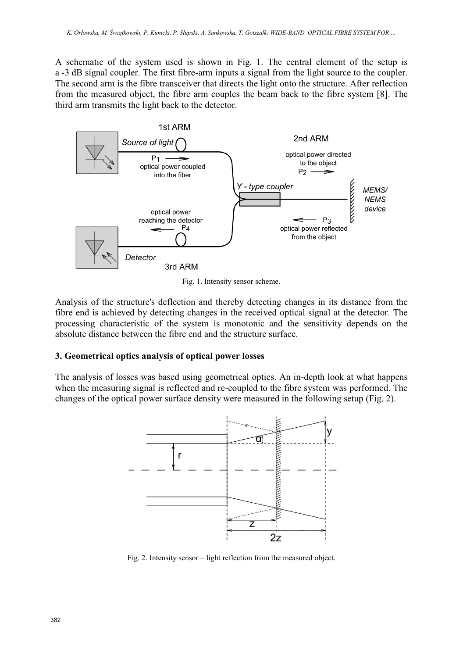A schematic of the system used is shown in Fig. 1. The central element of the setup is a -3 dB signal coupler. The first fibre-arm inputs a signal from the light source to the coupler. The second arm is the fibre transceiver that directs the light onto the structure. After reflection from the measured object, the fibre arm couples the beam back to the fibre system [8]. The third arm transmits the light back to the detector.



Fig. 1. Intensity sensor scheme.

Analysis of the structure's deflection and thereby detecting changes in its distance from the fibre end is achieved by detecting changes in the received optical signal at the detector. The processing characteristic of the system is monotonic and the sensitivity depends on the absolute distance between the fibre end and the structure surface.

## **3. Geometrical optics analysis of optical power losses**

The analysis of losses was based using geometrical optics. An in-depth look at what happens when the measuring signal is reflected and re-coupled to the fibre system was performed. The changes of the optical power surface density were measured in the following setup (Fig. 2).



Fig. 2. Intensity sensor – light reflection from the measured object.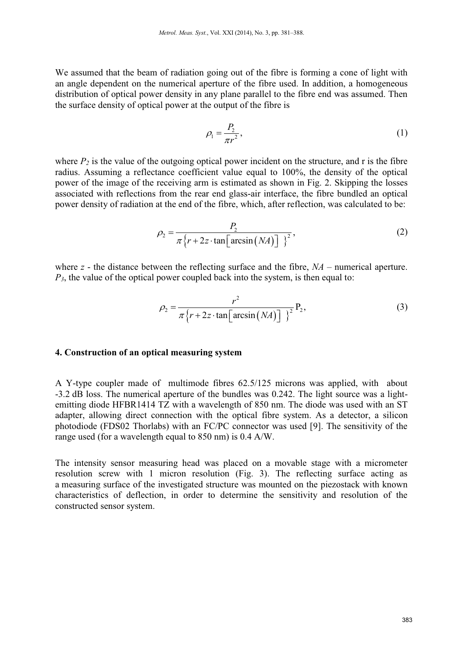We assumed that the beam of radiation going out of the fibre is forming a cone of light with an angle dependent on the numerical aperture of the fibre used. In addition, a homogeneous distribution of optical power density in any plane parallel to the fibre end was assumed. Then the surface density of optical power at the output of the fibre is

$$
\rho_1 = \frac{P_2}{\pi r^2},\tag{1}
$$

where  $P_2$  is the value of the outgoing optical power incident on the structure, and r is the fibre radius. Assuming a reflectance coefficient value equal to 100%, the density of the optical power of the image of the receiving arm is estimated as shown in Fig. 2. Skipping the losses associated with reflections from the rear end glass-air interface, the fibre bundled an optical power density of radiation at the end of the fibre, which, after reflection, was calculated to be:

$$
\rho_2 = \frac{P_2}{\pi \left\{ r + 2z \cdot \tan \left[ \arcsin\left( NA \right) \right] \right\}^2},\tag{2}
$$

where *z* - the distance between the reflecting surface and the fibre,  $NA$  – numerical aperture.  $P_3$ , the value of the optical power coupled back into the system, is then equal to:

$$
\rho_2 = \frac{r^2}{\pi \left\{ r + 2z \cdot \tan \left[ \arcsin \left( NA \right) \right] \right\}^2} P_2,\tag{3}
$$

## **4. Construction of an optical measuring system**

A Y-type coupler made of multimode fibres 62.5/125 microns was applied, with about -3.2 dB loss. The numerical aperture of the bundles was 0.242. The light source was a lightemitting diode HFBR1414 TZ with a wavelength of 850 nm. The diode was used with an ST adapter, allowing direct connection with the optical fibre system. As a detector, a silicon photodiode (FDS02 Thorlabs) with an FC/PC connector was used [9]. The sensitivity of the range used (for a wavelength equal to 850 nm) is 0.4 A/W.

The intensity sensor measuring head was placed on a movable stage with a micrometer resolution screw with 1 micron resolution (Fig. 3). The reflecting surface acting as a measuring surface of the investigated structure was mounted on the piezostack with known characteristics of deflection, in order to determine the sensitivity and resolution of the constructed sensor system.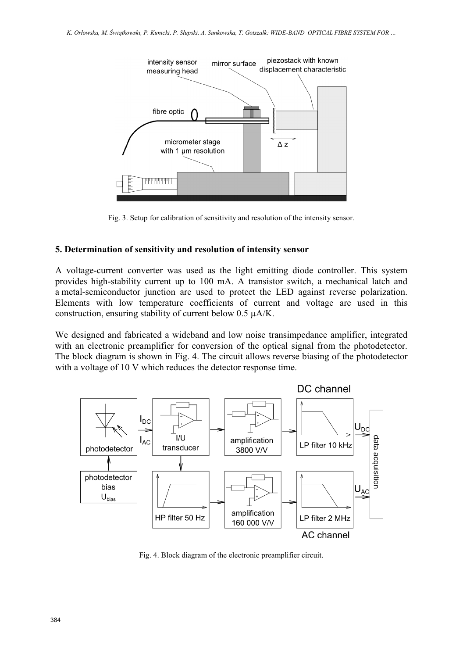

Fig. 3. Setup for calibration of sensitivity and resolution of the intensity sensor.

## **5. Determination of sensitivity and resolution of intensity sensor**

A voltage-current converter was used as the light emitting diode controller. This system provides high-stability current up to 100 mA. A transistor switch, a mechanical latch and a metal-semiconductor junction are used to protect the LED against reverse polarization. Elements with low temperature coefficients of current and voltage are used in this construction, ensuring stability of current below 0.5 µA/K.

We designed and fabricated a wideband and low noise transimpedance amplifier, integrated with an electronic preamplifier for conversion of the optical signal from the photodetector. The block diagram is shown in Fig. 4. The circuit allows reverse biasing of the photodetector with a voltage of 10 V which reduces the detector response time.



Fig. 4. Block diagram of the electronic preamplifier circuit.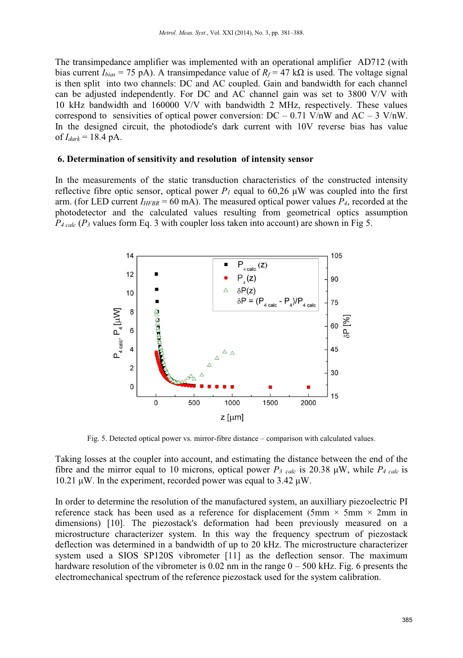The transimpedance amplifier was implemented with an operational amplifier AD712 (with bias current  $I_{bias} = 75 \text{ pA}$ . A transimpedance value of  $R_f = 47 \text{ k}\Omega$  is used. The voltage signal is then split into two channels: DC and AC coupled. Gain and bandwidth for each channel can be adjusted independently. For DC and AC channel gain was set to 3800 V/V with 10 kHz bandwidth and 160000 V/V with bandwidth 2 MHz, respectively. These values correspond to sensivities of optical power conversion:  $DC - 0.71$  V/nW and  $AC - 3$  V/nW. In the designed circuit, the photodiode's dark current with 10V reverse bias has value of  $I_{dark}$  = 18.4 pA.

## **6. Determination of sensitivity and resolution of intensity sensor**

In the measurements of the static transduction characteristics of the constructed intensity reflective fibre optic sensor, optical power  $P<sub>I</sub>$  equal to 60,26  $\mu$ W was coupled into the first arm. (for LED current  $I_{HFBR} = 60 \text{ mA}$ ). The measured optical power values  $P_4$ , recorded at the photodetector and the calculated values resulting from geometrical optics assumption  $P_{4 \text{ calc}}(P_3 \text{ values form Eq. 3 with coupler loss taken into account) are shown in Fig 5.$ 



Fig. 5. Detected optical power vs. mirror-fibre distance – comparison with calculated values.

Taking losses at the coupler into account, and estimating the distance between the end of the fibre and the mirror equal to 10 microns, optical power  $P_{\textit{3} \text{ calc}}$  is 20.38  $\mu$ W, while  $P_{\textit{4} \text{ calc}}$  is 10.21 μW. In the experiment, recorded power was equal to  $3.42 \mu W$ .

In order to determine the resolution of the manufactured system, an auxilliary piezoelectric PI reference stack has been used as a reference for displacement (5mm  $\times$  5mm  $\times$  2mm in dimensions) [10]. The piezostack's deformation had been previously measured on a microstructure characterizer system. In this way the frequency spectrum of piezostack deflection was determined in a bandwidth of up to 20 kHz. The microstructure characterizer system used a SIOS SP120S vibrometer [11] as the deflection sensor. The maximum hardware resolution of the vibrometer is  $0.02$  nm in the range  $0 - 500$  kHz. Fig. 6 presents the electromechanical spectrum of the reference piezostack used for the system calibration.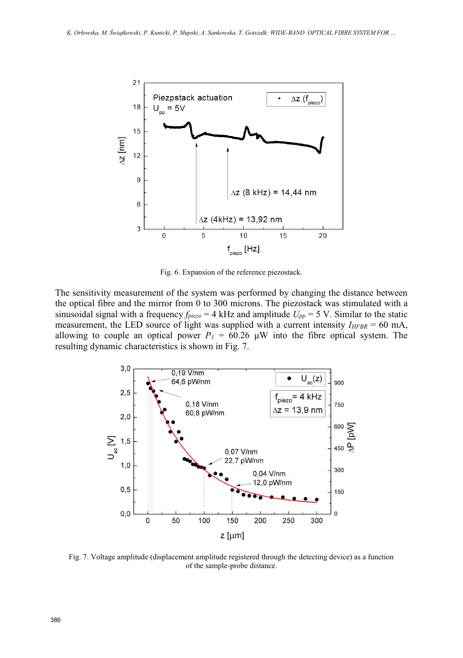

Fig. 6. Expansion of the reference piezostack.

The sensitivity measurement of the system was performed by changing the distance between the optical fibre and the mirror from 0 to 300 microns. The piezostack was stimulated with a sinusoidal signal with a frequency *fpiezo* = 4 kHz and amplitude *Upp* = 5 V. Similar to the static measurement, the LED source of light was supplied with a current intensity  $I_{HFBR} = 60 \text{ mA}$ , allowing to couple an optical power  $P_I = 60.26 \, \mu \text{W}$  into the fibre optical system. The resulting dynamic characteristics is shown in Fig. 7.



Fig. 7. Voltage amplitude (displacement amplitude registered through the detecting device) as a function of the sample-probe distance.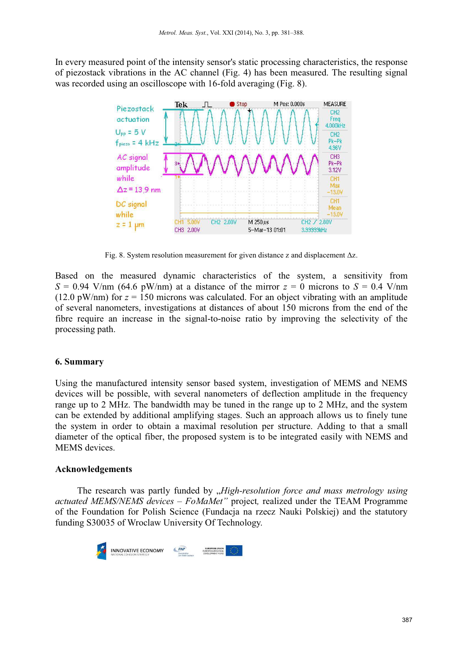In every measured point of the intensity sensor's static processing characteristics, the response of piezostack vibrations in the AC channel (Fig. 4) has been measured. The resulting signal was recorded using an oscilloscope with 16-fold averaging (Fig. 8).



Fig. 8. System resolution measurement for given distance z and displacement Δz.

Based on the measured dynamic characteristics of the system, a sensitivity from  $S = 0.94$  V/nm (64.6 pW/nm) at a distance of the mirror  $z = 0$  microns to  $S = 0.4$  V/nm (12.0 pW/nm) for  $z = 150$  microns was calculated. For an object vibrating with an amplitude of several nanometers, investigations at distances of about 150 microns from the end of the fibre require an increase in the signal-to-noise ratio by improving the selectivity of the processing path.

## **6. Summary**

Using the manufactured intensity sensor based system, investigation of MEMS and NEMS devices will be possible, with several nanometers of deflection amplitude in the frequency range up to 2 MHz. The bandwidth may be tuned in the range up to 2 MHz, and the system can be extended by additional amplifying stages. Such an approach allows us to finely tune the system in order to obtain a maximal resolution per structure. Adding to that a small diameter of the optical fiber, the proposed system is to be integrated easily with NEMS and MEMS devices.

## **Acknowledgements**

The research was partly funded by *"High-resolution force and mass metrology using actuated MEMS/NEMS devices – FoMaMet"* project*,* realized under the TEAM Programme of the Foundation for Polish Science (Fundacja na rzecz Nauki Polskiej) and the statutory funding S30035 of Wroclaw University Of Technology.